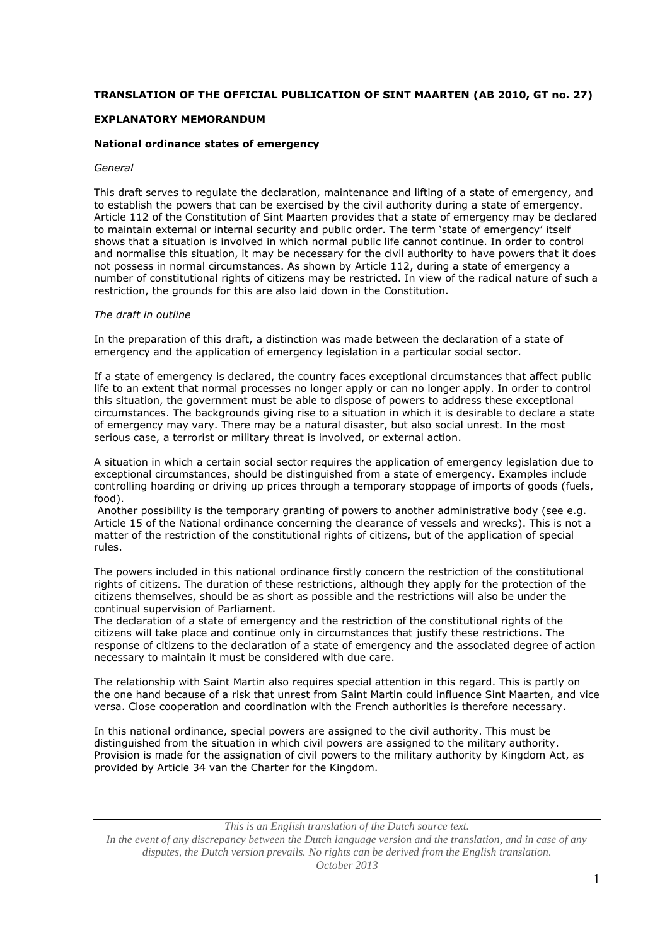# **TRANSLATION OF THE OFFICIAL PUBLICATION OF SINT MAARTEN (AB 2010, GT no. 27)**

## **EXPLANATORY MEMORANDUM**

## **National ordinance states of emergency**

## *General*

This draft serves to regulate the declaration, maintenance and lifting of a state of emergency, and to establish the powers that can be exercised by the civil authority during a state of emergency. Article 112 of the Constitution of Sint Maarten provides that a state of emergency may be declared to maintain external or internal security and public order. The term 'state of emergency' itself shows that a situation is involved in which normal public life cannot continue. In order to control and normalise this situation, it may be necessary for the civil authority to have powers that it does not possess in normal circumstances. As shown by Article 112, during a state of emergency a number of constitutional rights of citizens may be restricted. In view of the radical nature of such a restriction, the grounds for this are also laid down in the Constitution.

## *The draft in outline*

In the preparation of this draft, a distinction was made between the declaration of a state of emergency and the application of emergency legislation in a particular social sector.

If a state of emergency is declared, the country faces exceptional circumstances that affect public life to an extent that normal processes no longer apply or can no longer apply. In order to control this situation, the government must be able to dispose of powers to address these exceptional circumstances. The backgrounds giving rise to a situation in which it is desirable to declare a state of emergency may vary. There may be a natural disaster, but also social unrest. In the most serious case, a terrorist or military threat is involved, or external action.

A situation in which a certain social sector requires the application of emergency legislation due to exceptional circumstances, should be distinguished from a state of emergency. Examples include controlling hoarding or driving up prices through a temporary stoppage of imports of goods (fuels, food).

Another possibility is the temporary granting of powers to another administrative body (see e.g. Article 15 of the National ordinance concerning the clearance of vessels and wrecks). This is not a matter of the restriction of the constitutional rights of citizens, but of the application of special rules.

The powers included in this national ordinance firstly concern the restriction of the constitutional rights of citizens. The duration of these restrictions, although they apply for the protection of the citizens themselves, should be as short as possible and the restrictions will also be under the continual supervision of Parliament.

The declaration of a state of emergency and the restriction of the constitutional rights of the citizens will take place and continue only in circumstances that justify these restrictions. The response of citizens to the declaration of a state of emergency and the associated degree of action necessary to maintain it must be considered with due care.

The relationship with Saint Martin also requires special attention in this regard. This is partly on the one hand because of a risk that unrest from Saint Martin could influence Sint Maarten, and vice versa. Close cooperation and coordination with the French authorities is therefore necessary.

In this national ordinance, special powers are assigned to the civil authority. This must be distinguished from the situation in which civil powers are assigned to the military authority. Provision is made for the assignation of civil powers to the military authority by Kingdom Act, as provided by Article 34 van the Charter for the Kingdom.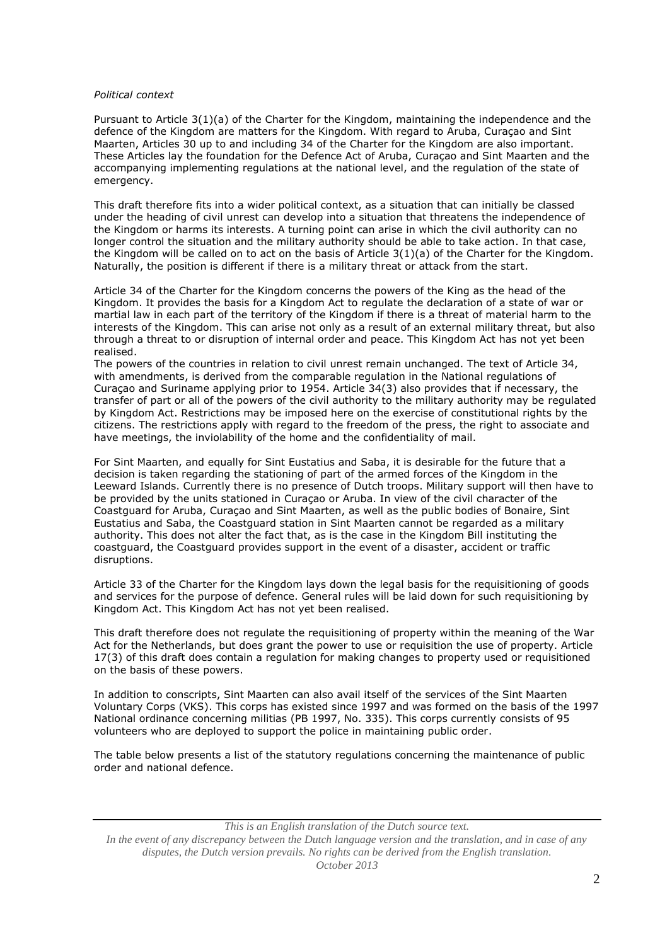### *Political context*

Pursuant to Article 3(1)(a) of the Charter for the Kingdom, maintaining the independence and the defence of the Kingdom are matters for the Kingdom. With regard to Aruba, Curaçao and Sint Maarten, Articles 30 up to and including 34 of the Charter for the Kingdom are also important. These Articles lay the foundation for the Defence Act of Aruba, Curaçao and Sint Maarten and the accompanying implementing regulations at the national level, and the regulation of the state of emergency.

This draft therefore fits into a wider political context, as a situation that can initially be classed under the heading of civil unrest can develop into a situation that threatens the independence of the Kingdom or harms its interests. A turning point can arise in which the civil authority can no longer control the situation and the military authority should be able to take action. In that case, the Kingdom will be called on to act on the basis of Article  $3(1)(a)$  of the Charter for the Kingdom. Naturally, the position is different if there is a military threat or attack from the start.

Article 34 of the Charter for the Kingdom concerns the powers of the King as the head of the Kingdom. It provides the basis for a Kingdom Act to regulate the declaration of a state of war or martial law in each part of the territory of the Kingdom if there is a threat of material harm to the interests of the Kingdom. This can arise not only as a result of an external military threat, but also through a threat to or disruption of internal order and peace. This Kingdom Act has not yet been realised.

The powers of the countries in relation to civil unrest remain unchanged. The text of Article 34, with amendments, is derived from the comparable regulation in the National regulations of Curaçao and Suriname applying prior to 1954. Article 34(3) also provides that if necessary, the transfer of part or all of the powers of the civil authority to the military authority may be regulated by Kingdom Act. Restrictions may be imposed here on the exercise of constitutional rights by the citizens. The restrictions apply with regard to the freedom of the press, the right to associate and have meetings, the inviolability of the home and the confidentiality of mail.

For Sint Maarten, and equally for Sint Eustatius and Saba, it is desirable for the future that a decision is taken regarding the stationing of part of the armed forces of the Kingdom in the Leeward Islands. Currently there is no presence of Dutch troops. Military support will then have to be provided by the units stationed in Curaçao or Aruba. In view of the civil character of the Coastguard for Aruba, Curaçao and Sint Maarten, as well as the public bodies of Bonaire, Sint Eustatius and Saba, the Coastguard station in Sint Maarten cannot be regarded as a military authority. This does not alter the fact that, as is the case in the Kingdom Bill instituting the coastguard, the Coastguard provides support in the event of a disaster, accident or traffic disruptions.

Article 33 of the Charter for the Kingdom lays down the legal basis for the requisitioning of goods and services for the purpose of defence. General rules will be laid down for such requisitioning by Kingdom Act. This Kingdom Act has not yet been realised.

This draft therefore does not regulate the requisitioning of property within the meaning of the War Act for the Netherlands, but does grant the power to use or requisition the use of property. Article 17(3) of this draft does contain a regulation for making changes to property used or requisitioned on the basis of these powers.

In addition to conscripts, Sint Maarten can also avail itself of the services of the Sint Maarten Voluntary Corps (VKS). This corps has existed since 1997 and was formed on the basis of the 1997 National ordinance concerning militias (PB 1997, No. 335). This corps currently consists of 95 volunteers who are deployed to support the police in maintaining public order.

The table below presents a list of the statutory regulations concerning the maintenance of public order and national defence.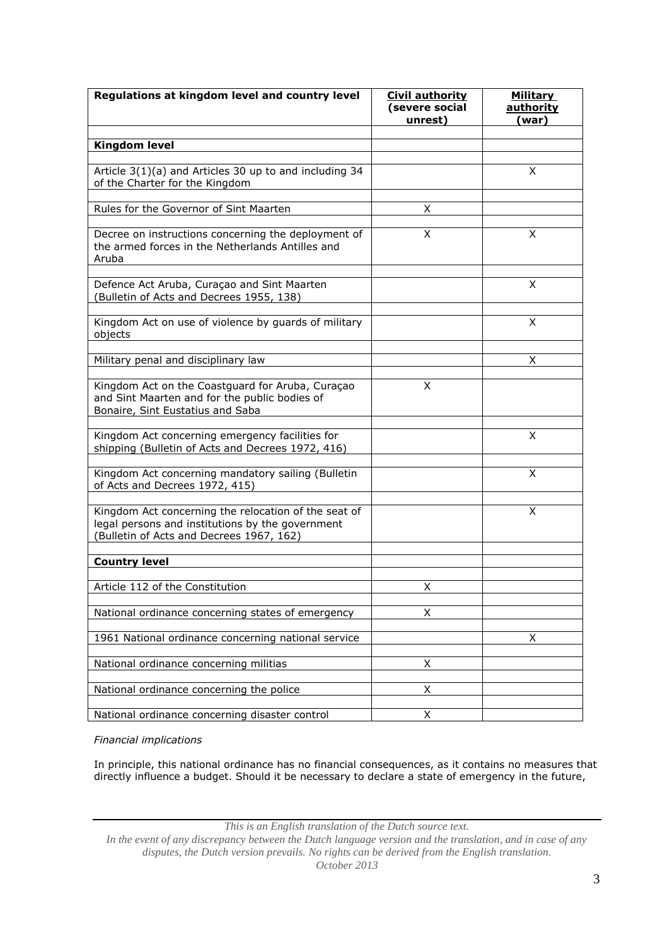| Regulations at kingdom level and country level                                                                                                       | <b>Civil authority</b><br>(severe social<br>unrest) | <b>Military</b><br><b>authority</b><br>(war) |
|------------------------------------------------------------------------------------------------------------------------------------------------------|-----------------------------------------------------|----------------------------------------------|
|                                                                                                                                                      |                                                     |                                              |
| <b>Kingdom level</b>                                                                                                                                 |                                                     |                                              |
| Article 3(1)(a) and Articles 30 up to and including 34<br>of the Charter for the Kingdom                                                             |                                                     | X                                            |
| Rules for the Governor of Sint Maarten                                                                                                               | X                                                   |                                              |
| Decree on instructions concerning the deployment of<br>the armed forces in the Netherlands Antilles and<br>Aruba                                     | X                                                   | X                                            |
| Defence Act Aruba, Curaçao and Sint Maarten<br>(Bulletin of Acts and Decrees 1955, 138)                                                              |                                                     | X                                            |
| Kingdom Act on use of violence by guards of military<br>objects                                                                                      |                                                     | X.                                           |
| Military penal and disciplinary law                                                                                                                  |                                                     | x                                            |
| Kingdom Act on the Coastguard for Aruba, Curaçao<br>and Sint Maarten and for the public bodies of<br>Bonaire, Sint Eustatius and Saba                | X                                                   |                                              |
| Kingdom Act concerning emergency facilities for<br>shipping (Bulletin of Acts and Decrees 1972, 416)                                                 |                                                     | X                                            |
| Kingdom Act concerning mandatory sailing (Bulletin<br>of Acts and Decrees 1972, 415)                                                                 |                                                     | X                                            |
| Kingdom Act concerning the relocation of the seat of<br>legal persons and institutions by the government<br>(Bulletin of Acts and Decrees 1967, 162) |                                                     | X                                            |
| <b>Country level</b>                                                                                                                                 |                                                     |                                              |
| Article 112 of the Constitution                                                                                                                      | X                                                   |                                              |
| National ordinance concerning states of emergency                                                                                                    | X                                                   |                                              |
| 1961 National ordinance concerning national service                                                                                                  |                                                     | X                                            |
| National ordinance concerning militias                                                                                                               | X                                                   |                                              |
| National ordinance concerning the police                                                                                                             | X                                                   |                                              |
| National ordinance concerning disaster control                                                                                                       | Χ                                                   |                                              |

*Financial implications*

In principle, this national ordinance has no financial consequences, as it contains no measures that directly influence a budget. Should it be necessary to declare a state of emergency in the future,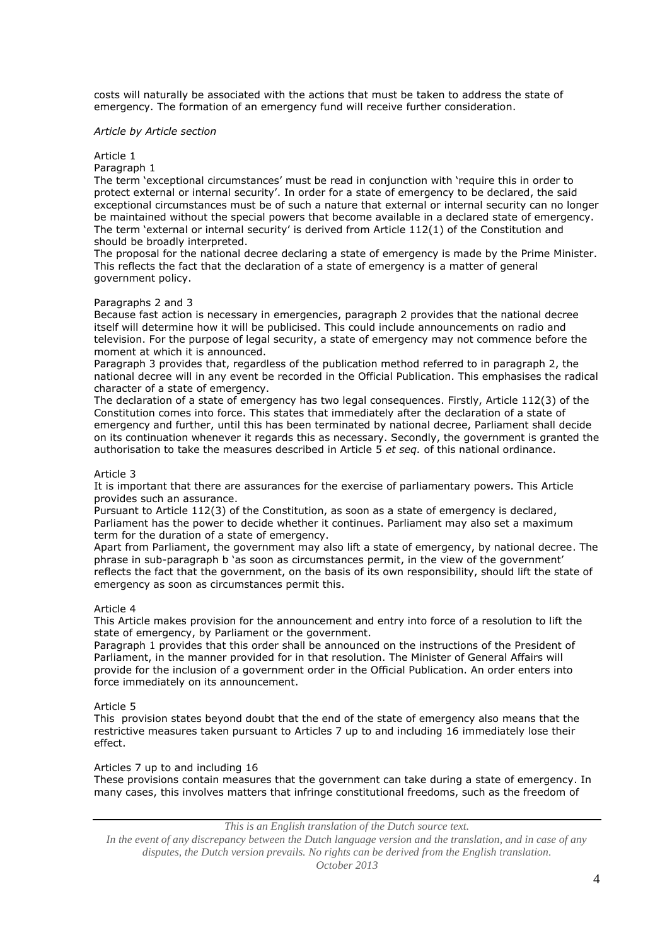costs will naturally be associated with the actions that must be taken to address the state of emergency. The formation of an emergency fund will receive further consideration.

#### *Article by Article section*

#### Article 1

Paragraph 1

The term 'exceptional circumstances' must be read in conjunction with 'require this in order to protect external or internal security'. In order for a state of emergency to be declared, the said exceptional circumstances must be of such a nature that external or internal security can no longer be maintained without the special powers that become available in a declared state of emergency. The term 'external or internal security' is derived from Article 112(1) of the Constitution and should be broadly interpreted.

The proposal for the national decree declaring a state of emergency is made by the Prime Minister. This reflects the fact that the declaration of a state of emergency is a matter of general government policy.

## Paragraphs 2 and 3

Because fast action is necessary in emergencies, paragraph 2 provides that the national decree itself will determine how it will be publicised. This could include announcements on radio and television. For the purpose of legal security, a state of emergency may not commence before the moment at which it is announced.

Paragraph 3 provides that, regardless of the publication method referred to in paragraph 2, the national decree will in any event be recorded in the Official Publication. This emphasises the radical character of a state of emergency.

The declaration of a state of emergency has two legal consequences. Firstly, Article 112(3) of the Constitution comes into force. This states that immediately after the declaration of a state of emergency and further, until this has been terminated by national decree, Parliament shall decide on its continuation whenever it regards this as necessary. Secondly, the government is granted the authorisation to take the measures described in Article 5 *et seq.* of this national ordinance.

#### Article 3

It is important that there are assurances for the exercise of parliamentary powers. This Article provides such an assurance.

Pursuant to Article 112(3) of the Constitution, as soon as a state of emergency is declared, Parliament has the power to decide whether it continues. Parliament may also set a maximum term for the duration of a state of emergency.

Apart from Parliament, the government may also lift a state of emergency, by national decree. The phrase in sub-paragraph b 'as soon as circumstances permit, in the view of the government' reflects the fact that the government, on the basis of its own responsibility, should lift the state of emergency as soon as circumstances permit this.

### Article 4

This Article makes provision for the announcement and entry into force of a resolution to lift the state of emergency, by Parliament or the government.

Paragraph 1 provides that this order shall be announced on the instructions of the President of Parliament, in the manner provided for in that resolution. The Minister of General Affairs will provide for the inclusion of a government order in the Official Publication. An order enters into force immediately on its announcement.

### Article 5

This provision states beyond doubt that the end of the state of emergency also means that the restrictive measures taken pursuant to Articles 7 up to and including 16 immediately lose their effect.

### Articles 7 up to and including 16

These provisions contain measures that the government can take during a state of emergency. In many cases, this involves matters that infringe constitutional freedoms, such as the freedom of

*This is an English translation of the Dutch source text.*

*In the event of any discrepancy between the Dutch language version and the translation, and in case of any disputes, the Dutch version prevails. No rights can be derived from the English translation. October 2013*